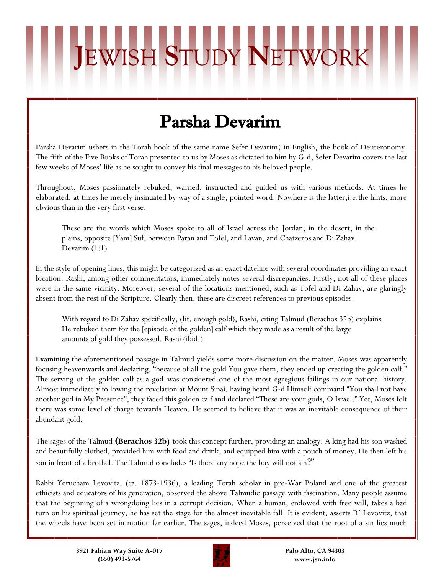## Parsha Devarim

**J**EWISH **S**TUDY **N**ETWORK

Parsha Devarim ushers in the Torah book of the same name Sefer Devarim; in English, the book of Deuteronomy. The fifth of the Five Books of Torah presented to us by Moses as dictated to him by G-d, Sefer Devarim covers the last few weeks of Moses' life as he sought to convey his final messages to his beloved people.

Throughout, Moses passionately rebuked, warned, instructed and guided us with various methods. At times he elaborated, at times he merely insinuated by way of a single, pointed word. Nowhere is the latter,i.e.the hints, more obvious than in the very first verse.

These are the words which Moses spoke to all of Israel across the Jordan; in the desert, in the plains, opposite [Yam] Suf, between Paran and Tofel, and Lavan, and Chatzeros and Di Zahav. Devarim (1:1)

In the style of opening lines, this might be categorized as an exact dateline with several coordinates providing an exact location. Rashi, among other commentators, immediately notes several discrepancies. Firstly, not all of these places were in the same vicinity. Moreover, several of the locations mentioned, such as Tofel and Di Zahav, are glaringly absent from the rest of the Scripture. Clearly then, these are discreet references to previous episodes.

With regard to Di Zahav specifically, (lit. enough gold), Rashi, citing Talmud (Berachos 32b) explains He rebuked them for the [episode of the golden] calf which they made as a result of the large amounts of gold they possessed. Rashi (ibid.)

Examining the aforementioned passage in Talmud yields some more discussion on the matter. Moses was apparently focusing heavenwards and declaring, "because of all the gold You gave them, they ended up creating the golden calf." The serving of the golden calf as a god was considered one of the most egregious failings in our national history. Almost immediately following the revelation at Mount Sinai, having heard G-d Himself command "You shall not have another god in My Presence", they faced this golden calf and declared "These are your gods, O Israel." Yet, Moses felt there was some level of charge towards Heaven. He seemed to believe that it was an inevitable consequence of their abundant gold.

The sages of the Talmud **(Berachos 32b)** took this concept further, providing an analogy. A king had his son washed and beautifully clothed, provided him with food and drink, and equipped him with a pouch of money. He then left his son in front of a brothel. The Talmud concludes "Is there any hope the boy will not sin?"

Rabbi Yerucham Levovitz, (ca. 1873-1936), a leading Torah scholar in pre-War Poland and one of the greatest ethicists and educators of his generation, observed the above Talmudic passage with fascination. Many people assume that the beginning of a wrongdoing lies in a corrupt decision. When a human, endowed with free will, takes a bad turn on his spiritual journey, he has set the stage for the almost inevitable fall. It is evident, asserts R' Levovitz, that the wheels have been set in motion far earlier. The sages, indeed Moses, perceived that the root of a sin lies much